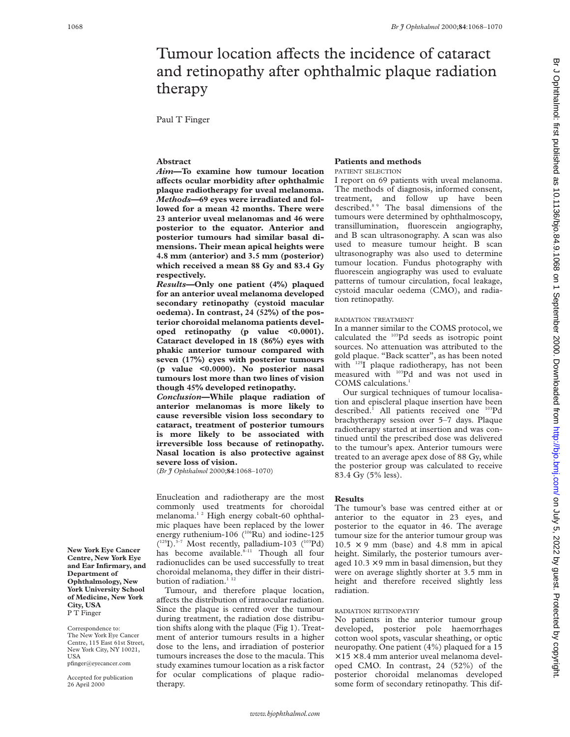# Tumour location affects the incidence of cataract and retinopathy after ophthalmic plaque radiation therapy

Paul T Finger

# **Abstract**

*Aim***—To examine how tumour location aVects ocular morbidity after ophthalmic plaque radiotherapy for uveal melanoma.** *Methods***—69 eyes were irradiated and followed for a mean 42 months. There were 23 anterior uveal melanomas and 46 were posterior to the equator. Anterior and posterior tumours had similar basal dimensions. Their mean apical heights were 4.8 mm (anterior) and 3.5 mm (posterior) which received a mean 88 Gy and 83.4 Gy respectively.**

*Results***—Only one patient (4%) plaqued for an anterior uveal melanoma developed secondary retinopathy (cystoid macular oedema). In contrast, 24 (52%) of the posterior choroidal melanoma patients developed retinopathy (p value <0.0001). Cataract developed in 18 (86%) eyes with phakic anterior tumour compared with seven (17%) eyes with posterior tumours (p value <0.0000). No posterior nasal tumours lost more than two lines of vision though 45% developed retinopathy.**

*Conclusion***—While plaque radiation of anterior melanomas is more likely to cause reversible vision loss secondary to cataract, treatment of posterior tumours is more likely to be associated with irreversible loss because of retinopathy. Nasal location is also protective against severe loss of vision.**

(*Br J Ophthalmol* 2000;**84**:1068–1070)

Enucleation and radiotherapy are the most commonly used treatments for choroidal melanoma.<sup>12</sup> High energy cobalt-60 ophthalmic plaques have been replaced by the lower energy ruthenium-106 (106Ru) and iodine-125  $(^{125}I)$ .<sup>3-7</sup> Most recently, palladium-103  $(^{103}Pd)$ has become available. $8-11$  Though all four radionuclides can be used successfully to treat choroidal melanoma, they differ in their distribution of radiation.<sup>1 12</sup>

Tumour, and therefore plaque location, affects the distribution of intraocular radiation. Since the plaque is centred over the tumour during treatment, the radiation dose distribution shifts along with the plaque (Fig 1). Treatment of anterior tumours results in a higher dose to the lens, and irradiation of posterior tumours increases the dose to the macula. This study examines tumour location as a risk factor for ocular complications of plaque radiotherapy.

## **Patients and methods** PATIENT SELECTION

I report on 69 patients with uveal melanoma. The methods of diagnosis, informed consent, treatment, and follow up have been described.8 9 The basal dimensions of the tumours were determined by ophthalmoscopy, transillumination, fluorescein angiography, and B scan ultrasonography. A scan was also used to measure tumour height. B scan ultrasonography was also used to determine tumour location. Fundus photography with fluorescein angiography was used to evaluate patterns of tumour circulation, focal leakage, cystoid macular oedema (CMO), and radiation retinopathy.

#### RADIATION TREATMENT

In a manner similar to the COMS protocol, we calculated the 103Pd seeds as isotropic point sources. No attenuation was attributed to the gold plaque. "Back scatter", as has been noted with <sup>125</sup>I plaque radiotherapy, has not been measured with 103Pd and was not used in COMS calculations.<sup>1</sup>

Our surgical techniques of tumour localisation and episcleral plaque insertion have been described.<sup>1</sup> All patients received one <sup>103</sup>Pd brachytherapy session over 5–7 days. Plaque radiotherapy started at insertion and was continued until the prescribed dose was delivered to the tumour's apex. Anterior tumours were treated to an average apex dose of 88 Gy, while the posterior group was calculated to receive 83.4 Gy (5% less).

## **Results**

The tumour's base was centred either at or anterior to the equator in 23 eyes, and posterior to the equator in 46. The average tumour size for the anterior tumour group was  $10.5 \times 9$  mm (base) and 4.8 mm in apical height. Similarly, the posterior tumours averaged  $10.3 \times 9$  mm in basal dimension, but they were on average slightly shorter at 3.5 mm in height and therefore received slightly less radiation.

## RADIATION RETINOPATHY

No patients in the anterior tumour group developed, posterior pole haemorrhages cotton wool spots, vascular sheathing, or optic neuropathy. One patient (4%) plaqued for a 15  $\times$  15  $\times$  8.4 mm anterior uveal melanoma developed CMO. In contrast, 24 (52%) of the posterior choroidal melanomas developed some form of secondary retinopathy. This dif-

**New York Eye Cancer Centre, New York Eye and Ear Infirmary, and Department of Ophthalmology, New York University School of Medicine, New York City, USA** P T Finger

Correspondence to: The New York Eye Cancer Centre, 115 East 61st Street, New York City, NY 10021, USA pfinger@eyecancer.com

Accepted for publication 26 April 2000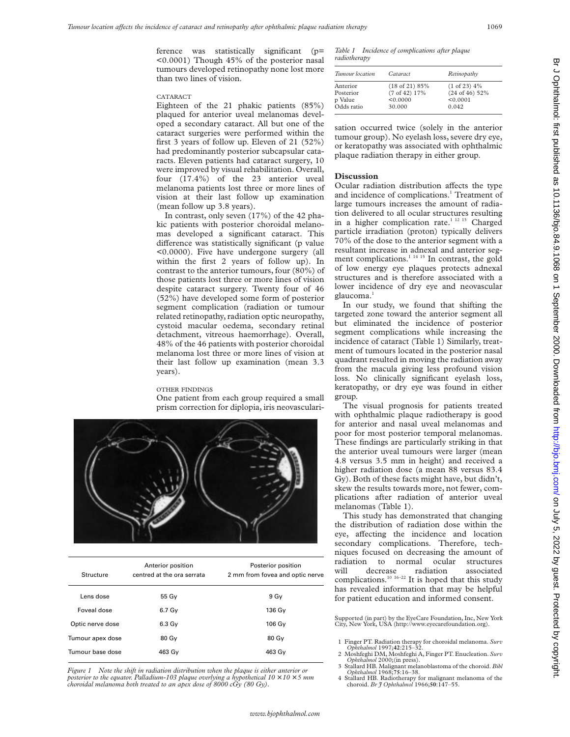ference was statistically significant (p= <0.0001) Though 45% of the posterior nasal tumours developed retinopathy none lost more than two lines of vision.

#### CATARACT

Eighteen of the 21 phakic patients (85%) plaqued for anterior uveal melanomas developed a secondary cataract. All but one of the cataract surgeries were performed within the first 3 years of follow up. Eleven of 21 (52%) had predominantly posterior subcapsular cataracts. Eleven patients had cataract surgery, 10 were improved by visual rehabilitation. Overall, four (17.4%) of the 23 anterior uveal melanoma patients lost three or more lines of vision at their last follow up examination (mean follow up 3.8 years).

In contrast, only seven (17%) of the 42 phakic patients with posterior choroidal melanomas developed a significant cataract. This difference was statistically significant (p value) <0.0000). Five have undergone surgery (all within the first 2 years of follow up). In contrast to the anterior tumours, four (80%) of those patients lost three or more lines of vision despite cataract surgery. Twenty four of 46 (52%) have developed some form of posterior segment complication (radiation or tumour related retinopathy, radiation optic neuropathy, cystoid macular oedema, secondary retinal detachment, vitreous haemorrhage). Overall, 48% of the 46 patients with posterior choroidal melanoma lost three or more lines of vision at their last follow up examination (mean 3.3 years).

## OTHER FINDINGS

One patient from each group required a small prism correction for diplopia, iris neovasculari-



| Structure        | Anterior position<br>centred at the ora serrata | Posterior position<br>2 mm from fovea and optic nerve |
|------------------|-------------------------------------------------|-------------------------------------------------------|
| Lens dose        | 55 Gy                                           | 9 Gy                                                  |
| Foveal dose      | 6.7 Gy                                          | 136 Gy                                                |
| Optic nerve dose | $6.3$ Gy                                        | 106 Gy                                                |
| Tumour apex dose | 80 Gy                                           | 80 Gy                                                 |
| Tumour base dose | 463 Gy                                          | 463 Gy                                                |

*Figure 1 Note the shift in radiation distribution when the plaque is either anterior or posterior to the equator. Palladium-103 plaque overlying a hypothetical 10* × *10* × *5 mm choroidal melanoma both treated to an apex dose of 8000 cGy (80 Gy).*

*Table 1 Incidence of complications after plaque radiotherapy*

| Tumour location | <i>Cataract</i> | Retinopathy             |
|-----------------|-----------------|-------------------------|
| Anterior        | (18 of 21) 85%  | $(1 \text{ of } 23)$ 4% |
| Posterior       | (7 of 42) 17%   | (24 of 46) 52%          |
| p Value         | < 0.0000        | < 0.0001                |
| Odds ratio      | 30.000          | 0.042                   |

sation occurred twice (solely in the anterior tumour group). No eyelash loss, severe dry eye, or keratopathy was associated with ophthalmic plaque radiation therapy in either group.

## **Discussion**

Ocular radiation distribution affects the type and incidence of complications.<sup>1</sup> Treatment of large tumours increases the amount of radiation delivered to all ocular structures resulting in a higher complication rate.<sup>1 12 13</sup> Charged particle irradiation (proton) typically delivers 70% of the dose to the anterior segment with a resultant increase in adnexal and anterior segment complications.<sup>1 14 15</sup> In contrast, the gold of low energy eye plaques protects adnexal structures and is therefore associated with a lower incidence of dry eye and neovascular glaucoma.<sup>1</sup>

In our study, we found that shifting the targeted zone toward the anterior segment all but eliminated the incidence of posterior segment complications while increasing the incidence of cataract (Table 1) Similarly, treatment of tumours located in the posterior nasal quadrant resulted in moving the radiation away from the macula giving less profound vision loss. No clinically significant eyelash loss, keratopathy, or dry eye was found in either group.

The visual prognosis for patients treated with ophthalmic plaque radiotherapy is good for anterior and nasal uveal melanomas and poor for most posterior temporal melanomas. These findings are particularly striking in that the anterior uveal tumours were larger (mean 4.8 versus 3.5 mm in height) and received a higher radiation dose (a mean 88 versus 83.4 Gy). Both of these facts might have, but didn't, skew the results towards more, not fewer, complications after radiation of anterior uveal melanomas (Table 1).

This study has demonstrated that changing the distribution of radiation dose within the eye, affecting the incidence and location secondary complications. Therefore, techniques focused on decreasing the amount of radiation to normal ocular structures will decrease radiation associated complications.10 16–22 It is hoped that this study has revealed information that may be helpful for patient education and informed consent.

Supported (in part) by the EyeCare Foundation, Inc, New York City, New York, USA (http://www.eyecarefoundation.org).

- 2 Moshfeghi DM, Moshfeghi A, Finger PT. Enucleation. *Surv*
- *Ophthalmol* 2000;(in press). 3 Stallard HB. Malignant melanoblastoma of the choroid. *Bibl Ophthalmol* 1968;**75**:16–38.
- 4 Stallard HB. Radiotherapy for malignant melanoma of the choroid. *Br J Ophthalmol* 1966;**50**:147–55.

<sup>1</sup> Finger PT. Radiation therapy for choroidal melanoma. *Surv Ophthalmol* 1997;**42**:215–32.